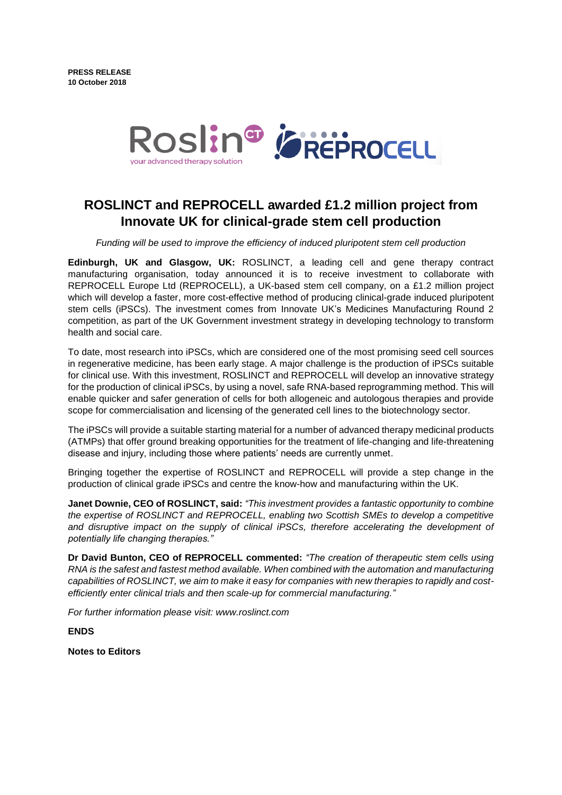**PRESS RELEASE 10 October 2018**



## **ROSLINCT and REPROCELL awarded £1.2 million project from Innovate UK for clinical-grade stem cell production**

*Funding will be used to improve the efficiency of induced pluripotent stem cell production*

**Edinburgh, UK and Glasgow, UK:** ROSLINCT, a leading cell and gene therapy contract manufacturing organisation, today announced it is to receive investment to collaborate with REPROCELL Europe Ltd (REPROCELL), a UK-based stem cell company, on a £1.2 million project which will develop a faster, more cost-effective method of producing clinical-grade induced pluripotent stem cells (iPSCs). The investment comes from Innovate UK's Medicines Manufacturing Round 2 competition, as part of the UK Government investment strategy in developing technology to transform health and social care.

To date, most research into iPSCs, which are considered one of the most promising seed cell sources in regenerative medicine, has been early stage. A major challenge is the production of iPSCs suitable for clinical use. With this investment, ROSLINCT and REPROCELL will develop an innovative strategy for the production of clinical iPSCs, by using a novel, safe RNA-based reprogramming method. This will enable quicker and safer generation of cells for both allogeneic and autologous therapies and provide scope for commercialisation and licensing of the generated cell lines to the biotechnology sector.

The iPSCs will provide a suitable starting material for a number of advanced therapy medicinal products (ATMPs) that offer ground breaking opportunities for the treatment of life-changing and life-threatening disease and injury, including those where patients' needs are currently unmet.

Bringing together the expertise of ROSLINCT and REPROCELL will provide a step change in the production of clinical grade iPSCs and centre the know-how and manufacturing within the UK.

**Janet Downie, CEO of ROSLINCT, said:** *"This investment provides a fantastic opportunity to combine the expertise of ROSLINCT and REPROCELL, enabling two Scottish SMEs to develop a competitive*  and disruptive impact on the supply of clinical iPSCs, therefore accelerating the development of *potentially life changing therapies."*

**Dr David Bunton, CEO of REPROCELL commented:** *"The creation of therapeutic stem cells using RNA is the safest and fastest method available. When combined with the automation and manufacturing capabilities of ROSLINCT, we aim to make it easy for companies with new therapies to rapidly and costefficiently enter clinical trials and then scale-up for commercial manufacturing."*

*For further information please visit: www.roslinct.com*

**ENDS**

**Notes to Editors**